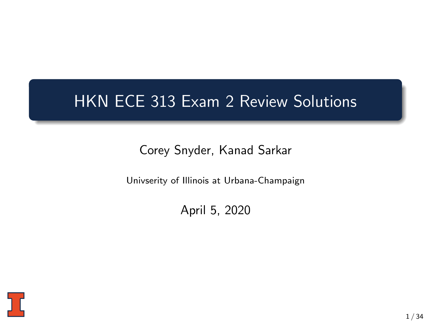## HKN ECE 313 Exam 2 Review Solutions

Corey Snyder, Kanad Sarkar

Univserity of Illinois at Urbana-Champaign

April 5, 2020

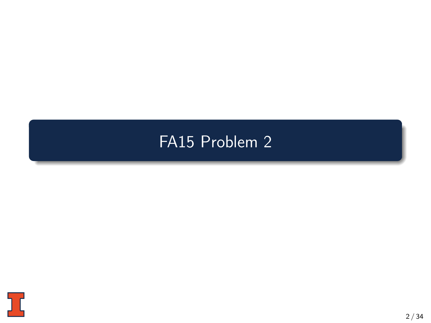# <span id="page-1-0"></span>[FA15 Problem 2](#page-1-0)

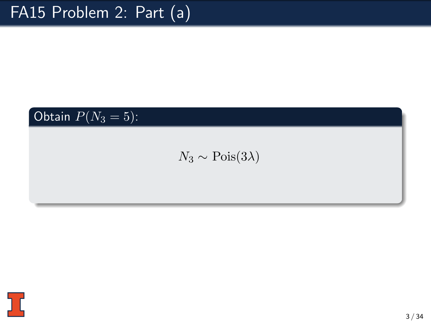### Obtain  $P(N_3 = 5)$ :

### $N_3 \sim \text{Pois}(3\lambda)$

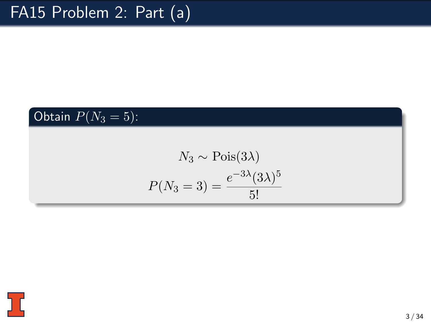### Obtain  $P(N_3 = 5)$ :

$$
N_3 \sim \text{Pois}(3\lambda)
$$

$$
P(N_3 = 3) = \frac{e^{-3\lambda}(3\lambda)^5}{5!}
$$

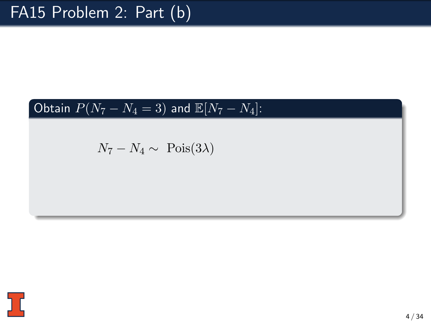### Obtain  $\overline{P(N_7 - N_4 = 3)}$  and  $\overline{\mathbb{E}}[N_7 - N_4]$ :

$$
N_7 - N_4 \sim \text{Pois}(3\lambda)
$$

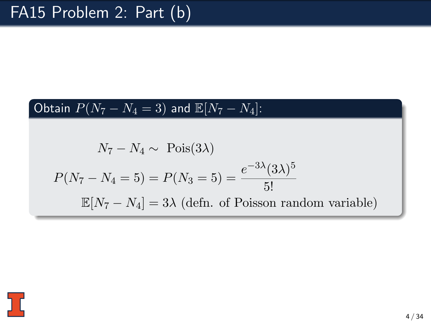### Obtain  $P(N_7 - N_4 = 3)$  and  $\mathbb{E}[N_7 - N_4]$ :

$$
N_7 - N_4 \sim \text{Pois}(3\lambda)
$$
  

$$
P(N_7 - N_4 = 5) = P(N_3 = 5) = \frac{e^{-3\lambda}(3\lambda)^5}{5!}
$$
  

$$
\mathbb{E}[N_7 - N_4] = 3\lambda \text{ (defn. of Poisson random variable)}
$$

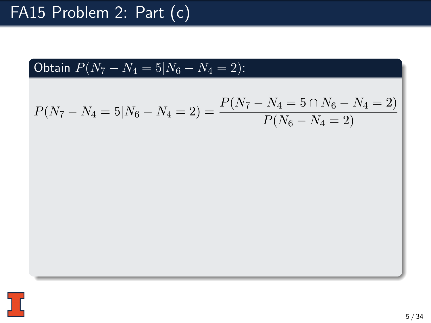

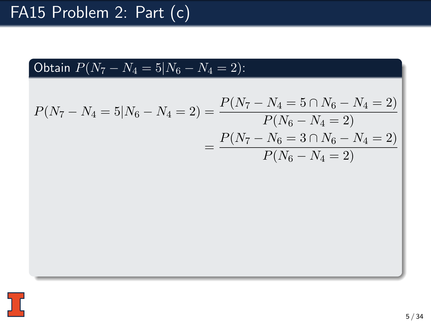Obtain 
$$
P(N_7 - N_4 = 5 | N_6 - N_4 = 2)
$$
:

$$
P(N_7 - N_4 = 5 | N_6 - N_4 = 2) = \frac{P(N_7 - N_4 = 5 \cap N_6 - N_4 = 2)}{P(N_6 - N_4 = 2)}
$$
  
= 
$$
\frac{P(N_7 - N_6 = 3 \cap N_6 - N_4 = 2)}{P(N_6 - N_4 = 2)}
$$

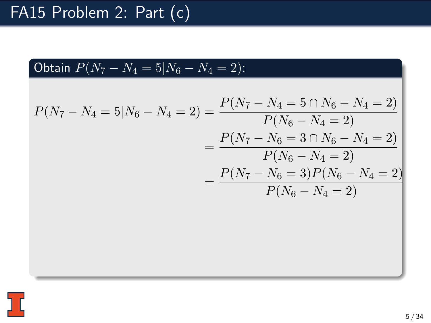Obtain 
$$
P(N_7 - N_4 = 5 | N_6 - N_4 = 2)
$$
:

$$
P(N_7 - N_4 = 5 | N_6 - N_4 = 2) = \frac{P(N_7 - N_4 = 5 \cap N_6 - N_4 = 2)}{P(N_6 - N_4 = 2)}
$$
  
= 
$$
\frac{P(N_7 - N_6 = 3 \cap N_6 - N_4 = 2)}{P(N_6 - N_4 = 2)}
$$
  
= 
$$
\frac{P(N_7 - N_6 = 3)P(N_6 - N_4 = 2)}{P(N_6 - N_4 = 2)}
$$

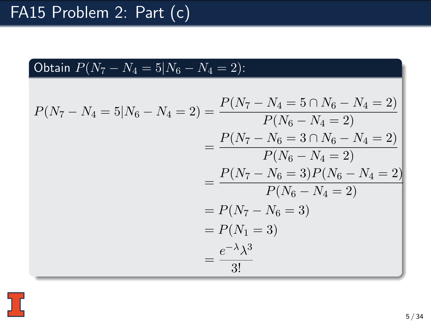Obtain 
$$
P(N_7 - N_4 = 5 | N_6 - N_4 = 2)
$$
:

$$
P(N_7 - N_4 = 5|N_6 - N_4 = 2) = \frac{P(N_7 - N_4 = 5 \cap N_6 - N_4 = 2)}{P(N_6 - N_4 = 2)}
$$
  
= 
$$
\frac{P(N_7 - N_6 = 3 \cap N_6 - N_4 = 2)}{P(N_6 - N_4 = 2)}
$$
  
= 
$$
\frac{P(N_7 - N_6 = 3)P(N_6 - N_4 = 2)}{P(N_6 - N_4 = 2)}
$$
  
= 
$$
P(N_7 - N_6 = 3)
$$
  
= 
$$
P(N_1 = 3)
$$
  
= 
$$
\frac{e^{-\lambda} \lambda^3}{3!}
$$

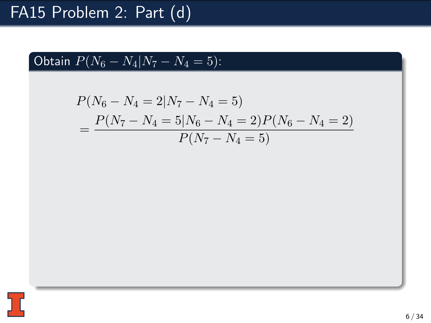Obtain 
$$
P(N_6 - N_4 | N_7 - N_4 = 5)
$$
:

$$
P(N_6 - N_4 = 2|N_7 - N_4 = 5)
$$
  
= 
$$
\frac{P(N_7 - N_4 = 5|N_6 - N_4 = 2)P(N_6 - N_4 = 2)}{P(N_7 - N_4 = 5)}
$$

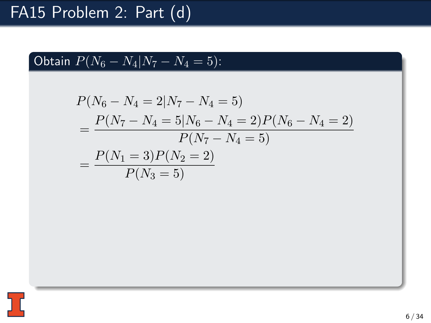Obtain 
$$
P(N_6 - N_4 | N_7 - N_4 = 5)
$$
:

$$
P(N_6 - N_4 = 2|N_7 - N_4 = 5)
$$
  
= 
$$
\frac{P(N_7 - N_4 = 5|N_6 - N_4 = 2)P(N_6 - N_4 = 2)}{P(N_7 - N_4 = 5)}
$$
  
= 
$$
\frac{P(N_1 = 3)P(N_2 = 2)}{P(N_3 = 5)}
$$

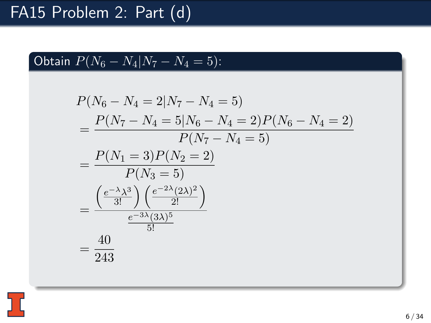Obtain 
$$
P(N_6 - N_4 | N_7 - N_4 = 5)
$$
:

$$
P(N_6 - N_4 = 2|N_7 - N_4 = 5)
$$
  
= 
$$
\frac{P(N_7 - N_4 = 5|N_6 - N_4 = 2)P(N_6 - N_4 = 2)}{P(N_7 - N_4 = 5)}
$$
  
= 
$$
\frac{P(N_1 = 3)P(N_2 = 2)}{P(N_3 = 5)}
$$
  
= 
$$
\frac{e^{-\lambda} \lambda^3}{8!} \left( \frac{e^{-2\lambda} (2\lambda)^2}{2!} \right)
$$
  
= 
$$
\frac{40}{243}
$$

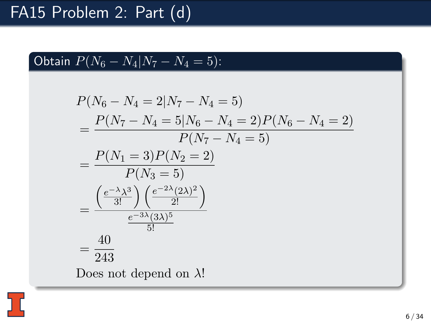Obtain 
$$
P(N_6 - N_4 | N_7 - N_4 = 5)
$$
:

$$
P(N_6 - N_4 = 2|N_7 - N_4 = 5)
$$
  
= 
$$
\frac{P(N_7 - N_4 = 5|N_6 - N_4 = 2)P(N_6 - N_4 = 2)}{P(N_7 - N_4 = 5)}
$$
  
= 
$$
\frac{P(N_1 = 3)P(N_2 = 2)}{P(N_3 = 5)}
$$
  
= 
$$
\frac{e^{-\lambda} \lambda^3}{3!} \frac{e^{-2\lambda} (2\lambda)^2}{2!}
$$
  
= 
$$
\frac{40}{243}
$$
  
Does not depend on  $\lambda!$ 

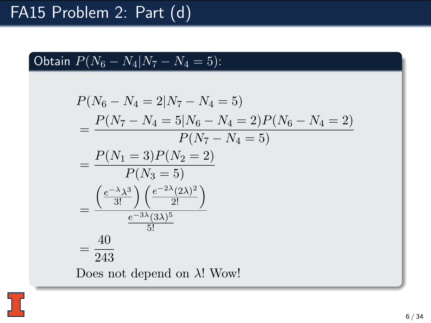Obtain 
$$
P(N_6 - N_4 | N_7 - N_4 = 5)
$$
:

$$
P(N_6 - N_4 = 2|N_7 - N_4 = 5)
$$
  
= 
$$
\frac{P(N_7 - N_4 = 5|N_6 - N_4 = 2)P(N_6 - N_4 = 2)}{P(N_7 - N_4 = 5)}
$$
  
= 
$$
\frac{P(N_1 = 3)P(N_2 = 2)}{P(N_3 = 5)}
$$
  
= 
$$
\frac{\left(\frac{e^{-\lambda} \lambda^3}{3!}\right)\left(\frac{e^{-2\lambda}(2\lambda)^2}{2!}\right)}{\frac{e^{-3\lambda}(3\lambda)^5}{5!}}
$$
  
= 
$$
\frac{40}{243}
$$
  
Does not depend on  $\lambda$ ! Wow!

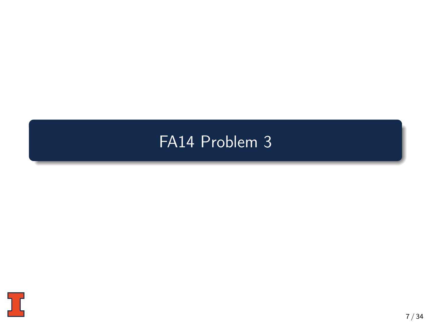## <span id="page-15-0"></span>[FA14 Problem 3](#page-15-0)

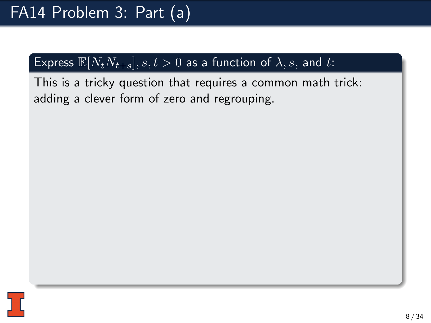This is a tricky question that requires a common math trick: adding a clever form of zero and regrouping.

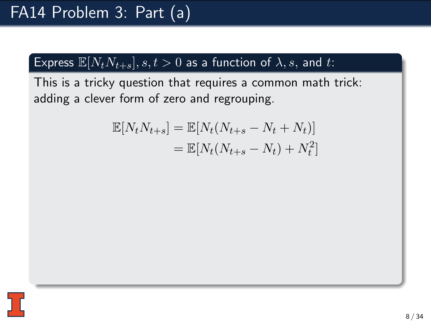This is a tricky question that requires a common math trick: adding a clever form of zero and regrouping.

$$
\mathbb{E}[N_t N_{t+s}] = \mathbb{E}[N_t (N_{t+s} - N_t + N_t)]
$$
  
= 
$$
\mathbb{E}[N_t (N_{t+s} - N_t) + N_t^2]
$$

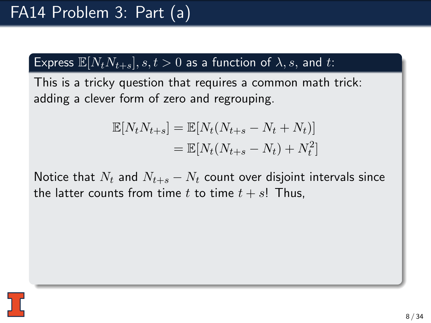This is a tricky question that requires a common math trick: adding a clever form of zero and regrouping.

$$
\mathbb{E}[N_t N_{t+s}] = \mathbb{E}[N_t (N_{t+s} - N_t + N_t)]
$$
  
= 
$$
\mathbb{E}[N_t (N_{t+s} - N_t) + N_t^2]
$$

Notice that  $N_t$  and  $N_{t+s} - N_t$  count over disjoint intervals since the latter counts from time t to time  $t + s!$  Thus,

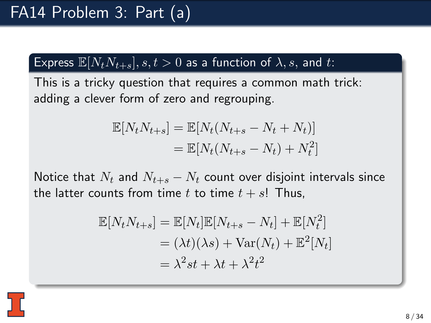This is a tricky question that requires a common math trick: adding a clever form of zero and regrouping.

$$
\mathbb{E}[N_t N_{t+s}] = \mathbb{E}[N_t (N_{t+s} - N_t + N_t)]
$$
  
= 
$$
\mathbb{E}[N_t (N_{t+s} - N_t) + N_t^2]
$$

Notice that  $N_t$  and  $N_{t+s} - N_t$  count over disjoint intervals since the latter counts from time t to time  $t + s!$  Thus,

$$
\mathbb{E}[N_t N_{t+s}] = \mathbb{E}[N_t] \mathbb{E}[N_{t+s} - N_t] + \mathbb{E}[N_t^2]
$$
  
=  $(\lambda t)(\lambda s) + \text{Var}(N_t) + \mathbb{E}^2[N_t]$   
=  $\lambda^2 st + \lambda t + \lambda^2 t^2$ 

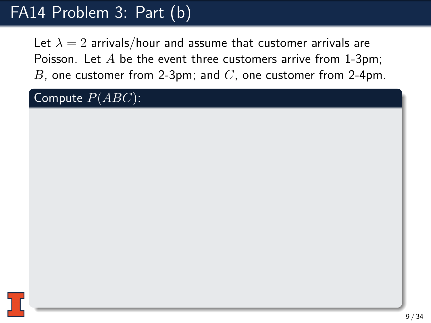Let  $\lambda = 2$  arrivals/hour and assume that customer arrivals are Poisson. Let  $A$  be the event three customers arrive from 1-3pm; B, one customer from 2-3pm; and  $C$ , one customer from 2-4pm.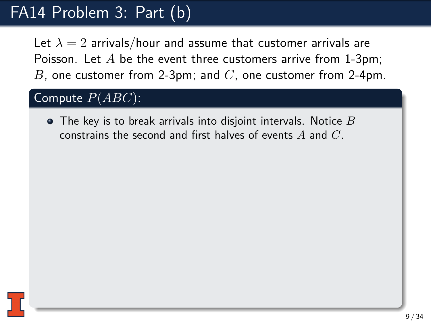Let  $\lambda = 2$  arrivals/hour and assume that customer arrivals are Poisson. Let  $A$  be the event three customers arrive from 1-3pm; B, one customer from 2-3pm; and  $C$ , one customer from 2-4pm.

#### Compute  $P(ABC)$ :

 $\bullet$  The key is to break arrivals into disjoint intervals. Notice  $B$ constrains the second and first halves of events  $A$  and  $C$ .

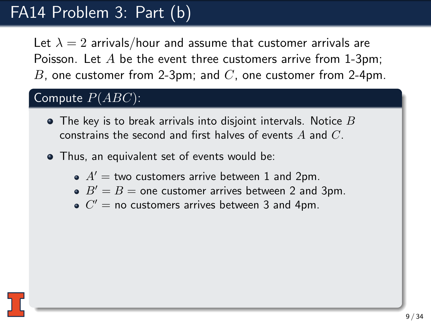Let  $\lambda = 2$  arrivals/hour and assume that customer arrivals are Poisson. Let  $A$  be the event three customers arrive from 1-3pm; B, one customer from 2-3pm; and  $C$ , one customer from 2-4pm.

- $\bullet$  The key is to break arrivals into disjoint intervals. Notice  $B$ constrains the second and first halves of events  $A$  and  $C$ .
- Thus, an equivalent set of events would be:
	- $\bullet$   $A'$  = two customers arrive between 1 and 2pm.
	- $B' = B =$  one customer arrives between 2 and 3pm.
	- $C'$  = no customers arrives between 3 and 4pm.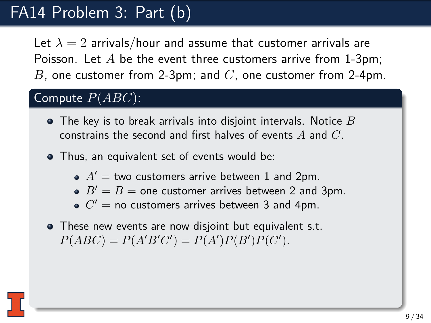Let  $\lambda = 2$  arrivals/hour and assume that customer arrivals are Poisson. Let  $A$  be the event three customers arrive from 1-3pm; B, one customer from 2-3pm; and  $C$ , one customer from 2-4pm.

- $\bullet$  The key is to break arrivals into disjoint intervals. Notice  $B$ constrains the second and first halves of events  $A$  and  $C$ .
- Thus, an equivalent set of events would be:
	- $\bullet$   $A'$  = two customers arrive between 1 and 2pm.
	- $B' = B =$  one customer arrives between 2 and 3pm.
	- $C'$  = no customers arrives between 3 and 4pm.
- These new events are now disjoint but equivalent s.t.  $P(ABC) = P(A'B'C') = P(A')P(B')P(C').$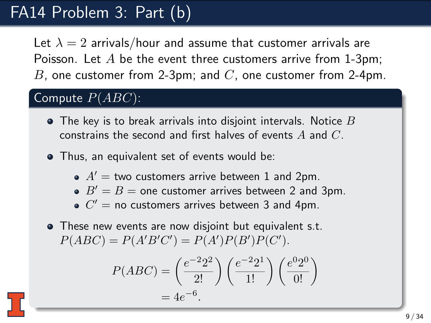Let  $\lambda = 2$  arrivals/hour and assume that customer arrivals are Poisson. Let  $A$  be the event three customers arrive from 1-3pm; B, one customer from 2-3pm; and  $C$ , one customer from 2-4pm.

- $\bullet$  The key is to break arrivals into disjoint intervals. Notice  $B$ constrains the second and first halves of events  $A$  and  $C$ .
- Thus, an equivalent set of events would be:
	- $\bullet$   $A'$  = two customers arrive between 1 and 2pm.
	- $B' = B =$  one customer arrives between 2 and 3pm.
	- $C'$  = no customers arrives between 3 and 4pm.
- These new events are now disjoint but equivalent s.t.  $P(ABC) = P(A'B'C') = P(A')P(B')P(C').$

$$
P(ABC) = \left(\frac{e^{-2}2^2}{2!}\right) \left(\frac{e^{-2}2^1}{1!}\right) \left(\frac{e^02^0}{0!}\right) = 4e^{-6}.
$$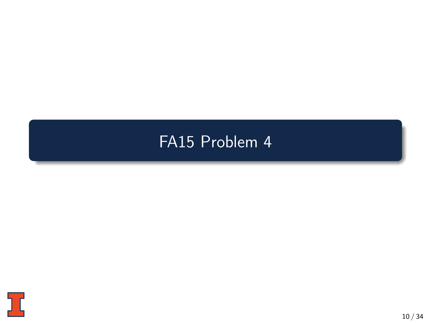# <span id="page-25-0"></span>[FA15 Problem 4](#page-25-0)

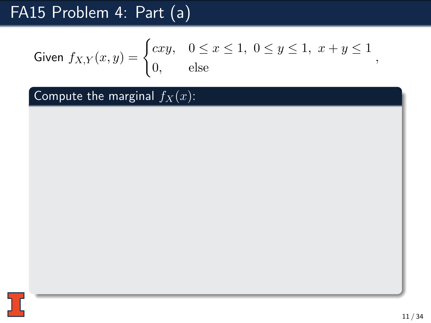Given 
$$
f_{X,Y}(x, y) = \begin{cases} cxy, & 0 \le x \le 1, \ 0 \le y \le 1, \ x + y \le 1 \\ 0, & \text{else} \end{cases}
$$

Compute the marginal  $f_X(x)$ :

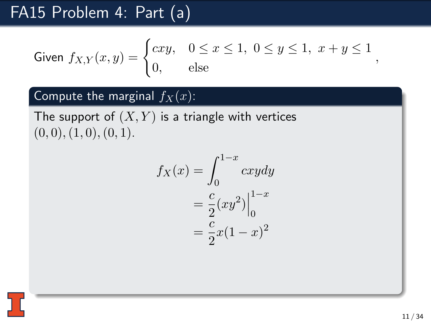Given 
$$
f_{X,Y}(x,y) = \begin{cases} cxy, & 0 \leq x \leq 1, \ 0 \leq y \leq 1, \ x+y \leq 1, \ 0, & \text{else} \end{cases}
$$

### Compute the marginal  $f_X(x)$ :

The support of  $(X, Y)$  is a triangle with vertices  $(0, 0), (1, 0), (0, 1).$ 

$$
f_X(x) = \int_0^{1-x} cxy dy
$$
  
=  $\frac{c}{2}(xy^2)\Big|_0^{1-x}$   
=  $\frac{c}{2}x(1-x)^2$ 

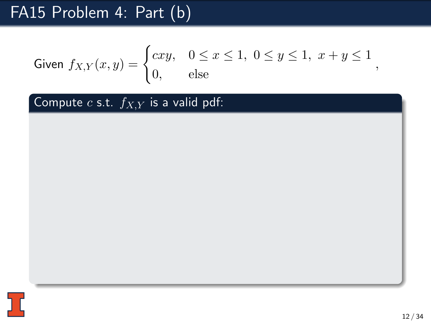Given 
$$
f_{X,Y}(x, y) = \begin{cases} cxy, & 0 \le x \le 1, \ 0 \le y \le 1, \ x + y \le 1 \\ 0, & \text{else} \end{cases}
$$

Compute  $c$  s.t.  $f_{X,Y}$  is a valid pdf:

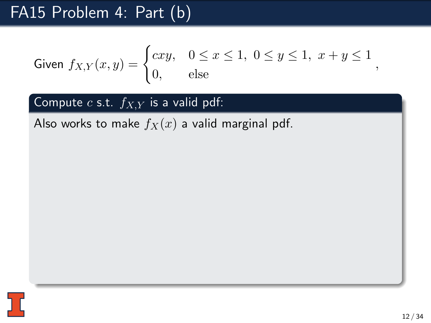Given 
$$
f_{X,Y}(x, y) = \begin{cases} cxy, & 0 \le x \le 1, \ 0 \le y \le 1, \ x + y \le 1 \\ 0, & \text{else} \end{cases}
$$

Compute  $c$  s.t.  $f_{X,Y}$  is a valid pdf:

Also works to make  $f_X(x)$  a valid marginal pdf.

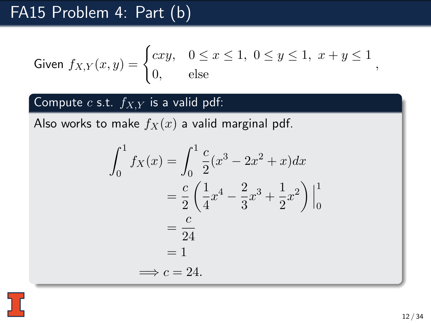Given 
$$
f_{X,Y}(x,y) = \begin{cases} cxy, & 0 \le x \le 1, \ 0 \le y \le 1, \ x+y \le 1 \\ 0, & \text{else} \end{cases}
$$

### Compute  $c$  s.t.  $f_{X,Y}$  is a valid pdf:

Also works to make  $f_X(x)$  a valid marginal pdf.

$$
\int_0^1 f_X(x) = \int_0^1 \frac{c}{2} (x^3 - 2x^2 + x) dx
$$

$$
= \frac{c}{2} \left( \frac{1}{4} x^4 - \frac{2}{3} x^3 + \frac{1}{2} x^2 \right) \Big|_0^1
$$

$$
= \frac{c}{24}
$$

$$
= 1
$$

$$
\implies c = 24.
$$

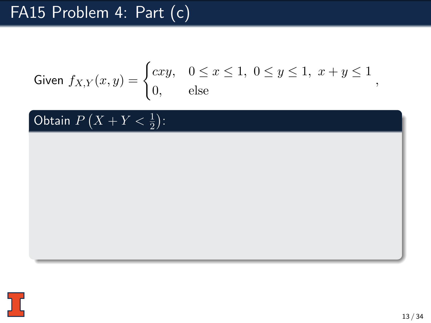Given 
$$
f_{X,Y}(x,y) = \begin{cases} cxy, & 0 \leq x \leq 1, \ 0 \leq y \leq 1, \ x + y \leq 1 \\ 0, & \text{else} \end{cases}
$$

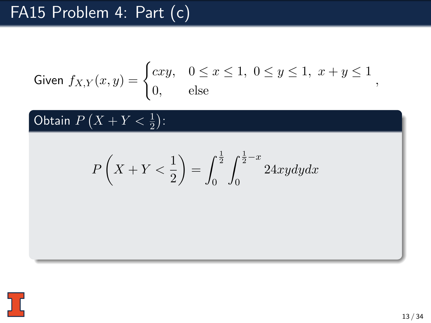Given 
$$
f_{X,Y}(x,y) = \begin{cases} cxy, & 0 \leq x \leq 1, \ 0 \leq y \leq 1, \ x + y \leq 1 \\ 0, & \text{else} \end{cases}
$$

$$
P\left(X+Y<\frac{1}{2}\right) = \int_0^{\frac{1}{2}} \int_0^{\frac{1}{2}-x} 24xy dy dx
$$

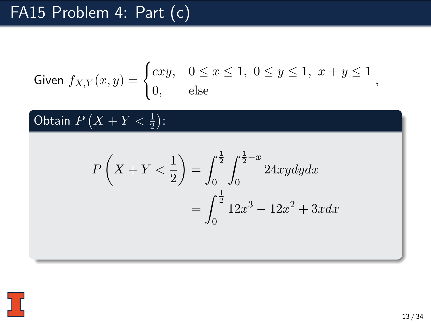Given 
$$
f_{X,Y}(x,y) = \begin{cases} cxy, & 0 \leq x \leq 1, \ 0 \leq y \leq 1, \ x + y \leq 1, \\ 0, & \text{else} \end{cases}
$$

$$
P\left(X+Y<\frac{1}{2}\right) = \int_0^{\frac{1}{2}} \int_0^{\frac{1}{2}-x} 24xy dy dx
$$

$$
= \int_0^{\frac{1}{2}} 12x^3 - 12x^2 + 3x dx
$$

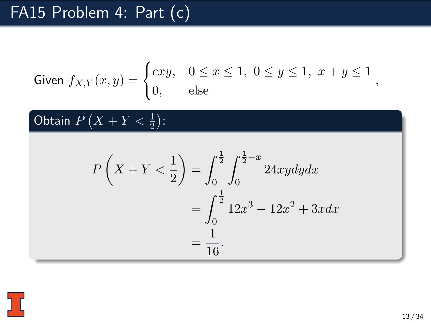Given 
$$
f_{X,Y}(x,y) = \begin{cases} cxy, & 0 \leq x \leq 1, \ 0 \leq y \leq 1, \ x + y \leq 1 \\ 0, & \text{else} \end{cases}
$$

$$
P\left(X+Y<\frac{1}{2}\right) = \int_0^{\frac{1}{2}} \int_0^{\frac{1}{2}-x} 24xy dy dx
$$
  
= 
$$
\int_0^{\frac{1}{2}} 12x^3 - 12x^2 + 3xdx
$$
  
= 
$$
\frac{1}{16}.
$$

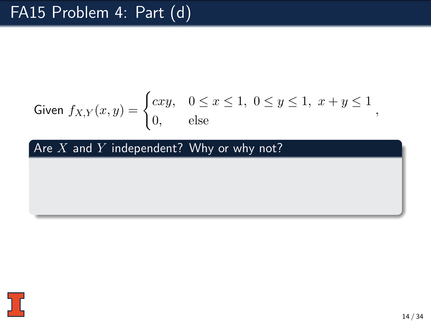Given 
$$
f_{X,Y}(x, y) = \begin{cases} cxy, & 0 \le x \le 1, \ 0 \le y \le 1, \ x + y \le 1 \\ 0, & \text{else} \end{cases}
$$

Are  $X$  and  $Y$  independent? Why or why not?

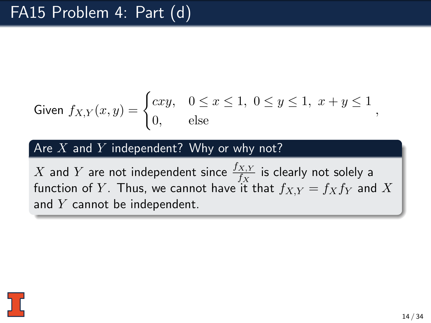Given 
$$
f_{X,Y}(x,y) = \begin{cases} cxy, & 0 \leq x \leq 1, \ 0 \leq y \leq 1, \ x + y \leq 1, \\ 0, & \text{else} \end{cases}
$$

#### Are  $X$  and  $Y$  independent? Why or why not?

X and Y are not independent since  $\frac{f_{X,Y}}{f_X}$  is clearly not solely a function of Y. Thus, we cannot have it that  $f_{X,Y} = f_X f_Y$  and X and  $Y$  cannot be independent.

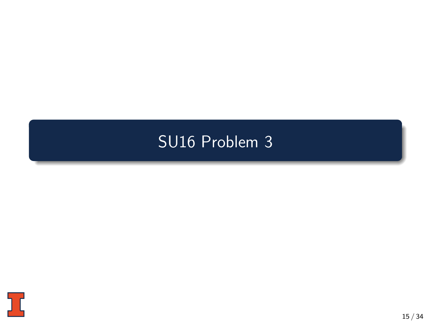#### <span id="page-37-0"></span>[SU16 Problem 3](#page-37-0)

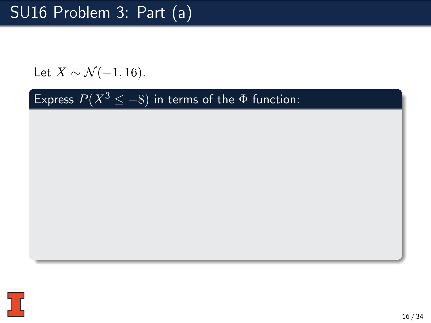Let  $X \sim \mathcal{N}(-1, 16)$ .

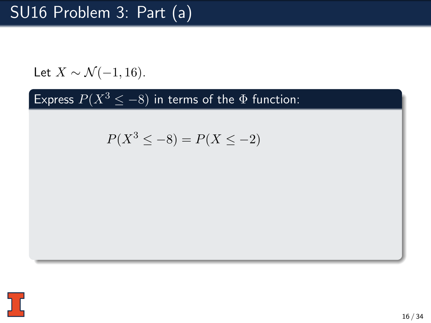Let  $X \sim \mathcal{N}(-1, 16)$ .

$$
P(X^3 \le -8) = P(X \le -2)
$$

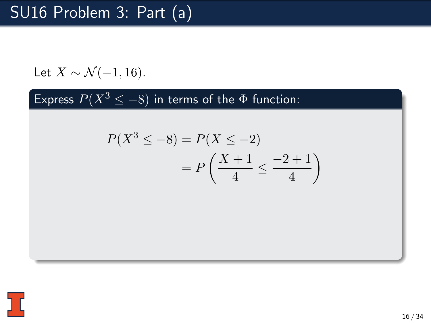Let  $X \sim \mathcal{N}(-1, 16)$ .

$$
P(X^3 \le -8) = P(X \le -2)
$$
  
= 
$$
P\left(\frac{X+1}{4} \le \frac{-2+1}{4}\right)
$$

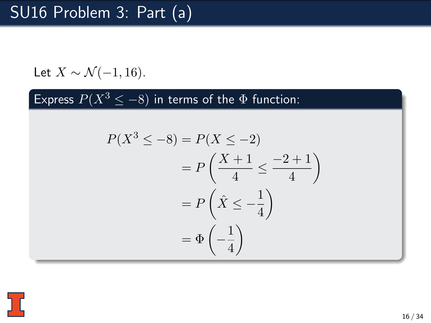Let  $X \sim \mathcal{N}(-1, 16)$ .

$$
P(X^3 \le -8) = P(X \le -2)
$$
  
= 
$$
P\left(\frac{X+1}{4} \le \frac{-2+1}{4}\right)
$$
  
= 
$$
P\left(\hat{X} \le -\frac{1}{4}\right)
$$
  
= 
$$
\Phi\left(-\frac{1}{4}\right)
$$

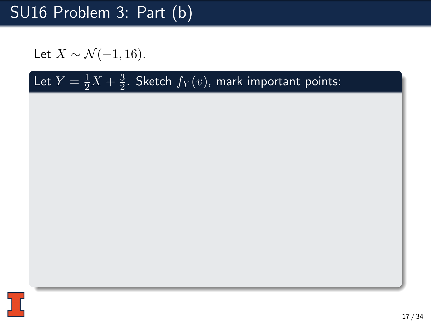Let  $X \sim \mathcal{N}(-1, 16)$ .

#### Let  $Y = \frac{1}{2}X + \frac{3}{2}$  $\frac{3}{2}$ . Sketch  $f_{Y}(v)$ , mark important points:

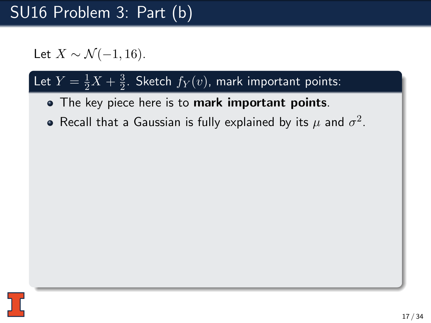Let  $X \sim \mathcal{N}(-1, 16)$ .

#### Let  $Y = \frac{1}{2}X + \frac{3}{2}$  $\frac{3}{2}$ . Sketch  $f_{Y}(v)$ , mark important points:

- The key piece here is to mark important points.
- Recall that a Gaussian is fully explained by its  $\mu$  and  $\sigma^2.$

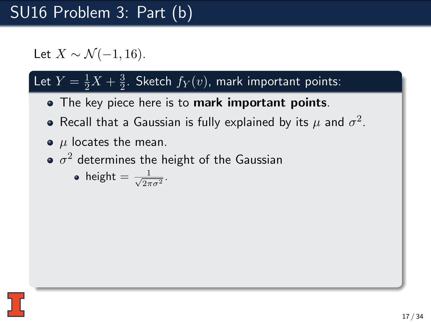Let  $X \sim \mathcal{N}(-1, 16)$ .

#### Let  $Y = \frac{1}{2}X + \frac{3}{2}$  $\frac{3}{2}$ . Sketch  $f_{Y}(v)$ , mark important points:

- The key piece here is to mark important points.
- Recall that a Gaussian is fully explained by its  $\mu$  and  $\sigma^2.$
- $\bullet$   $\mu$  locates the mean.
- $\sigma^2$  determines the height of the Gaussian

• height = 
$$
\frac{1}{\sqrt{2\pi\sigma^2}}
$$
.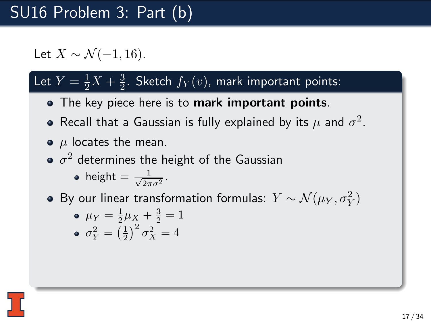Let  $X \sim \mathcal{N}(-1, 16)$ .

#### Let  $Y = \frac{1}{2}X + \frac{3}{2}$  $\frac{3}{2}$ . Sketch  $f_{Y}(v)$ , mark important points:

- The key piece here is to mark important points.
- Recall that a Gaussian is fully explained by its  $\mu$  and  $\sigma^2.$
- $\bullet$   $\mu$  locates the mean.
- $\sigma^2$  determines the height of the Gaussian

• height 
$$
=
$$
  $\frac{1}{\sqrt{2\pi\sigma^2}}$ .

By our linear transformation formulas:  $Y \sim \mathcal{N}(\mu_Y, \sigma_Y^2)$ 

• 
$$
\mu_Y = \frac{1}{2}\mu_X + \frac{3}{2} = 1
$$
  
\n•  $\sigma_Y^2 = \left(\frac{1}{2}\right)^2 \sigma_X^2 = 4$ 

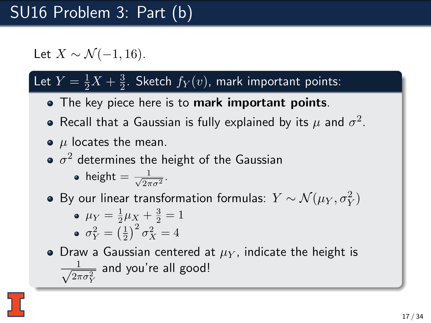Let  $X \sim \mathcal{N}(-1, 16)$ .

#### Let  $Y = \frac{1}{2}X + \frac{3}{2}$  $\frac{3}{2}$ . Sketch  $f_{Y}(v)$ , mark important points:

- The key piece here is to mark important points.
- Recall that a Gaussian is fully explained by its  $\mu$  and  $\sigma^2.$
- $\bullet$   $\mu$  locates the mean.
- $\sigma^2$  determines the height of the Gaussian

• height 
$$
=
$$
  $\frac{1}{\sqrt{2\pi\sigma^2}}$ .

By our linear transformation formulas:  $Y \sim \mathcal{N}(\mu_Y, \sigma_Y^2)$ 

• 
$$
\mu_Y = \frac{1}{2}\mu_X + \frac{3}{2} = 1
$$
  
\n•  $\sigma_Y^2 = \left(\frac{1}{2}\right)^2 \sigma_X^2 = 4$ 

• Draw a Gaussian centered at  $\mu_Y$ , indicate the height is  $\frac{1}{\sqrt{2}}$  $\frac{1}{2\pi\sigma_Y^2}$  and you're all good!

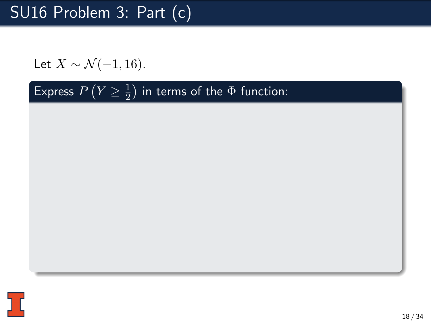Let  $X \sim \mathcal{N}(-1, 16)$ .

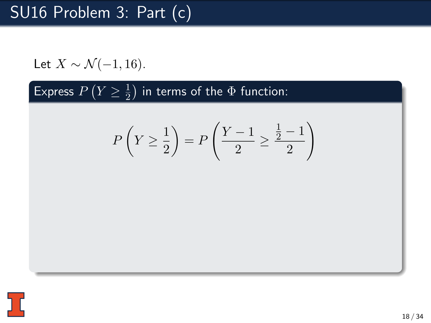Let 
$$
X \sim \mathcal{N}(-1, 16)
$$
.

$$
P\left(Y \ge \frac{1}{2}\right) = P\left(\frac{Y-1}{2} \ge \frac{\frac{1}{2}-1}{2}\right)
$$

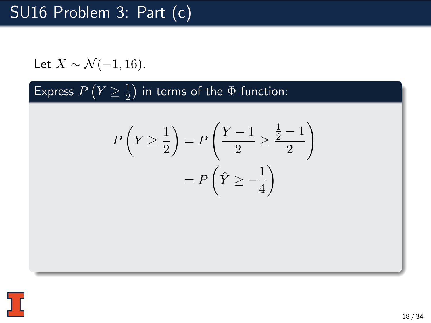Let 
$$
X \sim \mathcal{N}(-1, 16)
$$
.

$$
P\left(Y \ge \frac{1}{2}\right) = P\left(\frac{Y-1}{2} \ge \frac{\frac{1}{2}-1}{2}\right)
$$

$$
= P\left(\hat{Y} \ge -\frac{1}{4}\right)
$$

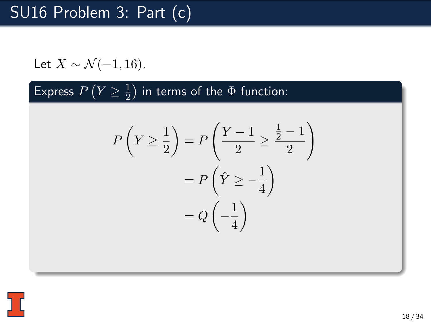Let 
$$
X \sim \mathcal{N}(-1, 16)
$$
.

$$
P\left(Y \ge \frac{1}{2}\right) = P\left(\frac{Y-1}{2} \ge \frac{\frac{1}{2}-1}{2}\right)
$$

$$
= P\left(\hat{Y} \ge -\frac{1}{4}\right)
$$

$$
= Q\left(-\frac{1}{4}\right)
$$

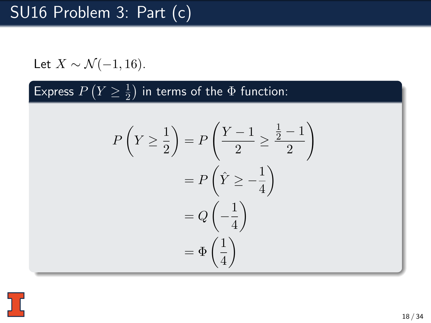Let 
$$
X \sim \mathcal{N}(-1, 16)
$$
.

$$
P\left(Y \ge \frac{1}{2}\right) = P\left(\frac{Y-1}{2} \ge \frac{\frac{1}{2}-1}{2}\right)
$$

$$
= P\left(\hat{Y} \ge -\frac{1}{4}\right)
$$

$$
= Q\left(-\frac{1}{4}\right)
$$

$$
= \Phi\left(\frac{1}{4}\right)
$$

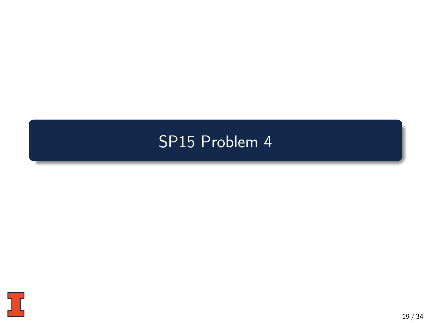#### <span id="page-52-0"></span>[SP15 Problem 4](#page-52-0)

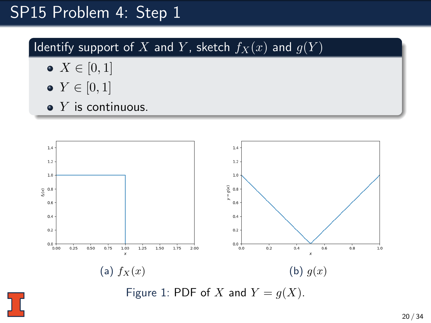#### SP15 Problem 4: Step 1

Identify support of X and Y, sketch  $f_X(x)$  and  $g(Y)$ 

- $X \in [0,1]$
- $Y \in [0, 1]$
- $\bullet$  Y is continuous.

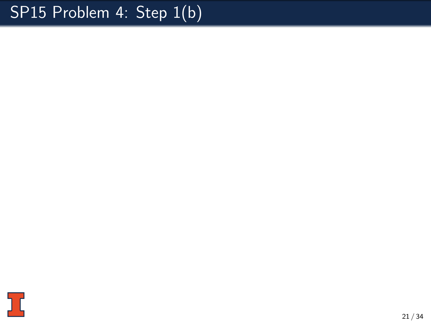# SP15 Problem 4: Step 1(b)

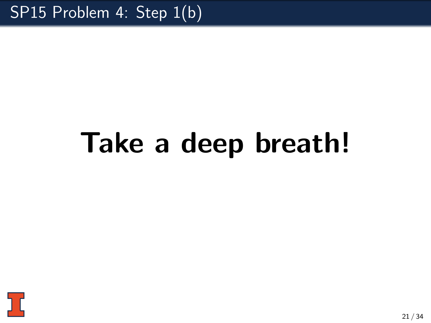# Take a deep breath!

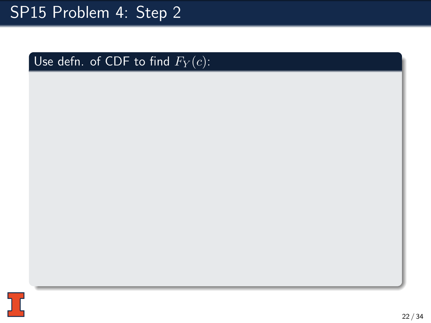# SP15 Problem 4: Step 2

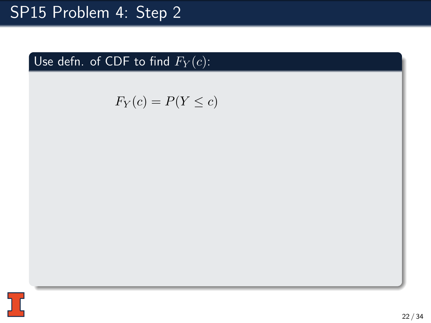# SP15 Problem 4: Step 2

$$
F_Y(c) = P(Y \le c)
$$

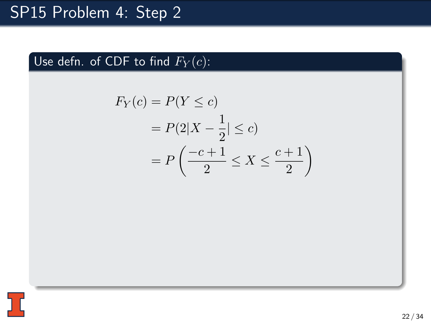$$
F_Y(c) = P(Y \le c)
$$
  
=  $P(2|X - \frac{1}{2}| \le c)$   
=  $P\left(\frac{-c+1}{2} \le X \le \frac{c+1}{2}\right)$ 

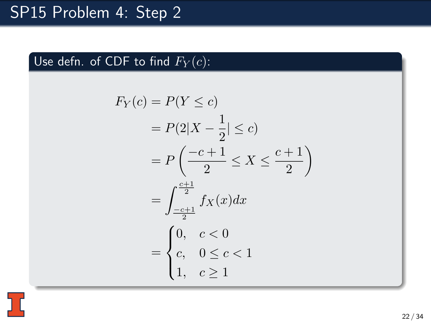$$
F_Y(c) = P(Y \le c)
$$
  
=  $P(2|X - \frac{1}{2}| \le c)$   
=  $P\left(\frac{-c+1}{2} \le X \le \frac{c+1}{2}\right)$   
=  $\int_{\frac{-c+1}{2}}^{\frac{c+1}{2}} f_X(x) dx$   
=  $\begin{cases} 0, & c < 0 \\ c, & 0 \le c < 1 \\ 1, & c \ge 1 \end{cases}$ 

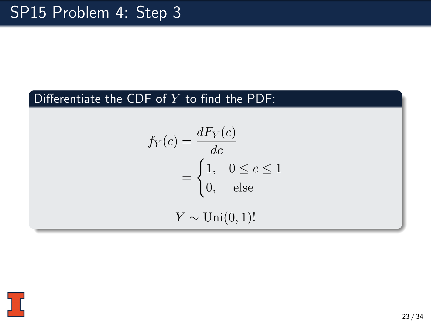#### Differentiate the CDF of  $Y$  to find the PDF:

$$
f_Y(c) = \frac{dF_Y(c)}{dc}
$$
  
= 
$$
\begin{cases} 1, & 0 \le c \le 1 \\ 0, & \text{else} \end{cases}
$$
  

$$
Y \sim \text{Uni}(0, 1)!
$$

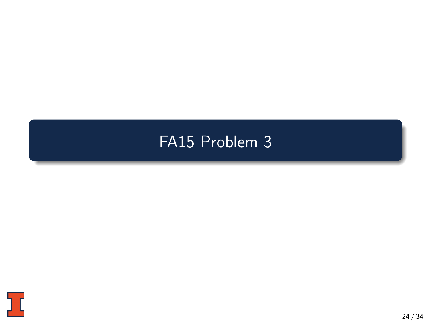#### <span id="page-61-0"></span>[FA15 Problem 3](#page-61-0)

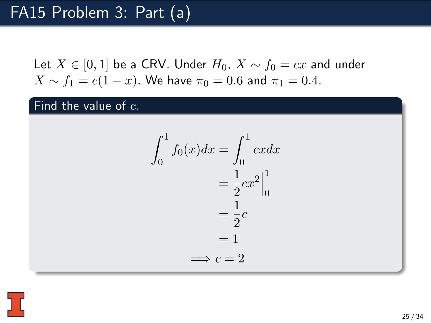#### Find the value of  $c$ .

$$
\int_0^1 f_0(x)dx = \int_0^1 cxdx
$$

$$
= \frac{1}{2}cx^2\Big|_0^1
$$

$$
= \frac{1}{2}c
$$

$$
= 1
$$

$$
\implies c = 2
$$

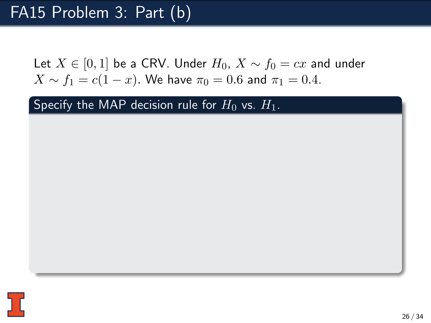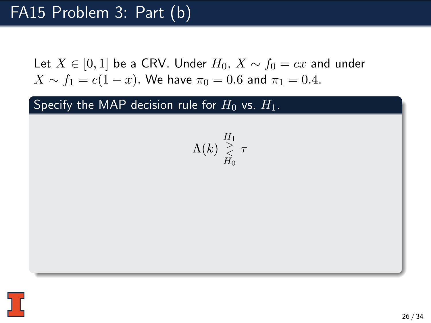$$
\Lambda(k) \mathop{\geq}_{H_0}^{H_1} \tau
$$

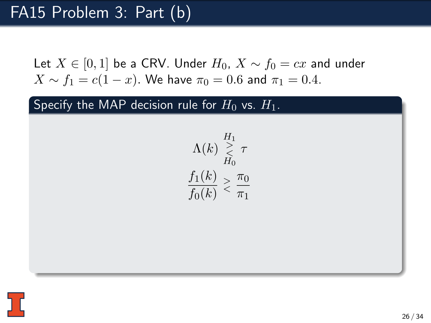$$
\Lambda(k) \underset{H_0}{\geq} \tau
$$
  

$$
\frac{f_1(k)}{f_0(k)} \geq \frac{\pi_0}{\pi_1}
$$

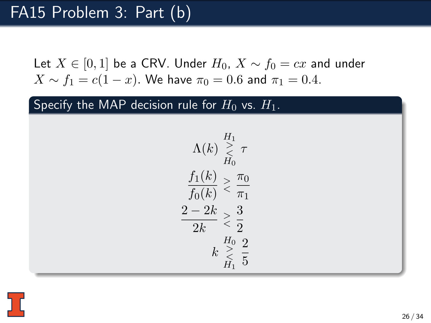$$
\begin{array}{c} \Lambda(k) \stackrel{H_1}{\underset{H_0}{<}} \tau \\ \frac{f_1(k)}{f_0(k)} > \frac{\pi_0}{\pi_1} \\ \frac{2-2k}{2k} > \frac{3}{2} \\ k \stackrel{H_0}{\underset{H_1}{<}} \frac{2}{5} \end{array}
$$

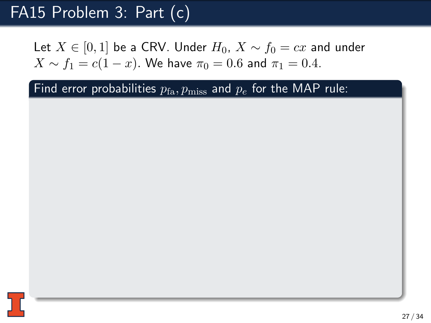Let  $X \in [0, 1]$  be a CRV. Under  $H_0$ ,  $X \sim f_0 = cx$  and under  $X \sim f_1 = c(1-x)$ . We have  $\pi_0 = 0.6$  and  $\pi_1 = 0.4$ .

27 / 34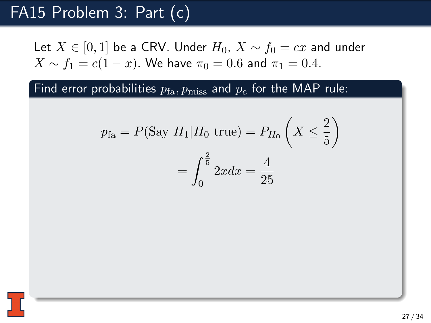Let  $X \in [0, 1]$  be a CRV. Under  $H_0$ ,  $X \sim f_0 = cx$  and under  $X \sim f_1 = c(1-x)$ . We have  $\pi_0 = 0.6$  and  $\pi_1 = 0.4$ .

$$
p_{\text{fa}} = P(\text{Say } H_1 | H_0 \text{ true}) = P_{H_0} \left( X \le \frac{2}{5} \right)
$$

$$
= \int_0^{\frac{2}{5}} 2x dx = \frac{4}{25}
$$

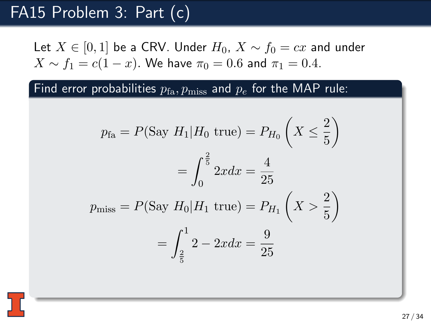Let  $X \in [0, 1]$  be a CRV. Under  $H_0$ ,  $X \sim f_0 = cx$  and under  $X \sim f_1 = c(1-x)$ . We have  $\pi_0 = 0.6$  and  $\pi_1 = 0.4$ .

$$
p_{\text{fa}} = P(\text{Say } H_1 | H_0 \text{ true}) = P_{H_0} \left( X \le \frac{2}{5} \right)
$$

$$
= \int_0^{\frac{2}{5}} 2x dx = \frac{4}{25}
$$

$$
p_{\text{miss}} = P(\text{Say } H_0 | H_1 \text{ true}) = P_{H_1} \left( X > \frac{2}{5} \right)
$$

$$
= \int_{\frac{2}{5}}^1 2 - 2x dx = \frac{9}{25}
$$

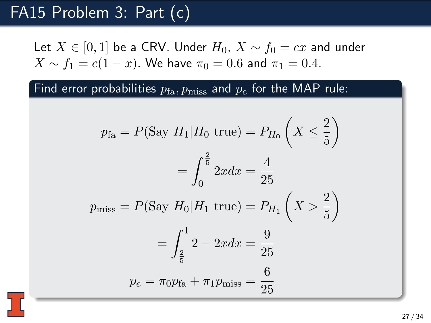Let  $X \in [0, 1]$  be a CRV. Under  $H_0$ ,  $X \sim f_0 = cx$  and under  $X \sim f_1 = c(1-x)$ . We have  $\pi_0 = 0.6$  and  $\pi_1 = 0.4$ .

$$
p_{\text{fa}} = P(\text{Say } H_1 | H_0 \text{ true}) = P_{H_0} \left( X \le \frac{2}{5} \right)
$$

$$
= \int_0^{\frac{2}{5}} 2x dx = \frac{4}{25}
$$

$$
p_{\text{miss}} = P(\text{Say } H_0 | H_1 \text{ true}) = P_{H_1} \left( X > \frac{2}{5} \right)
$$

$$
= \int_{\frac{2}{5}}^1 2 - 2x dx = \frac{9}{25}
$$

$$
p_e = \pi_0 p_{\text{fa}} + \pi_1 p_{\text{miss}} = \frac{6}{25}
$$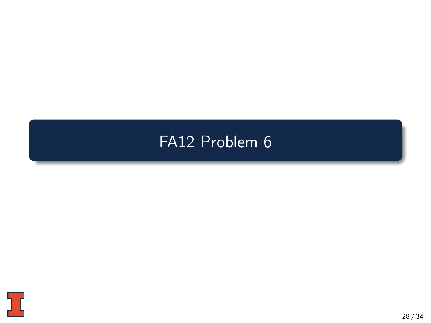#### <span id="page-71-0"></span>[FA12 Problem 6](#page-71-0)

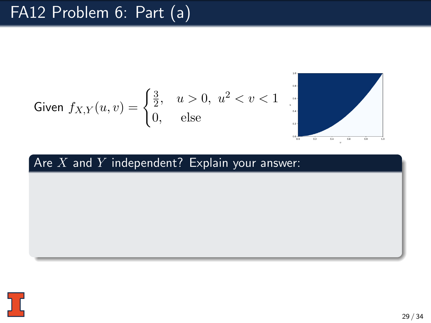$$
\text{Given } f_{X,Y}(u,v) = \begin{cases} \frac{3}{2}, & u > 0, \ u^2 < v < 1 \\ 0, & \text{else} \end{cases}
$$



#### Are  $X$  and  $\overline{Y}$  independent? Explain your answer:

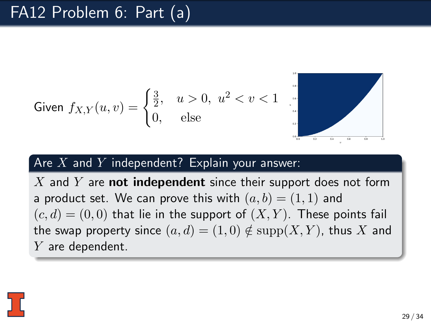Given 
$$
f_{X,Y}(u, v) = \begin{cases} \frac{3}{2}, & u > 0, u^2 < v < 1 \\ 0, & \text{else} \end{cases}
$$



#### Are  $X$  and  $Y$  independent? Explain your answer:

X and Y are **not independent** since their support does not form a product set. We can prove this with  $(a, b) = (1, 1)$  and  $(c, d) = (0, 0)$  that lie in the support of  $(X, Y)$ . These points fail the swap property since  $(a, d) = (1, 0) \notin \text{supp}(X, Y)$ , thus X and Y are dependent.

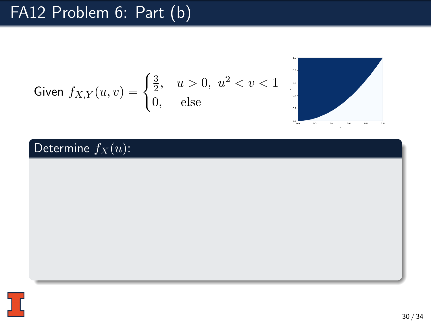Given 
$$
f_{X,Y}(u, v) = \begin{cases} \frac{3}{2}, & u > 0, u^2 < v < 1 \\ 0, & \text{else} \end{cases}
$$



#### Determine  $f_X(u)$ :

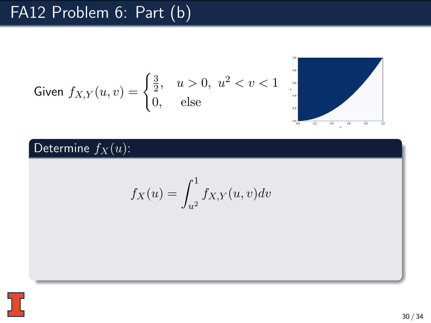Given 
$$
f_{X,Y}(u, v) = \begin{cases} \frac{3}{2}, & u > 0, u^2 < v < 1 \\ 0, & \text{else} \end{cases}
$$



#### Determine  $f_X(u)$ :

$$
f_X(u) = \int_{u^2}^1 f_{X,Y}(u,v) dv
$$

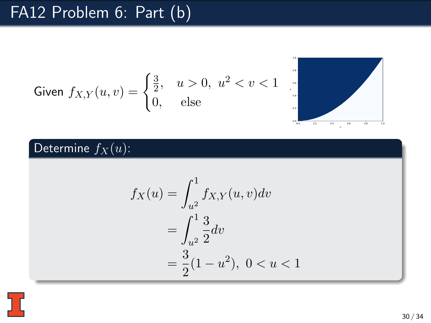Given 
$$
f_{X,Y}(u, v) = \begin{cases} \frac{3}{2}, & u > 0, u^2 < v < 1 \\ 0, & \text{else} \end{cases}
$$



#### Determine  $f_X(u)$ :

$$
f_X(u) = \int_{u^2}^{1} f_{X,Y}(u, v) dv
$$
  
= 
$$
\int_{u^2}^{1} \frac{3}{2} dv
$$
  
= 
$$
\frac{3}{2} (1 - u^2), \ 0 < u < 1
$$

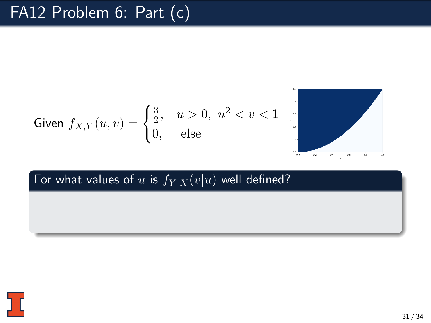Given 
$$
f_{X,Y}(u, v) = \begin{cases} \frac{3}{2}, & u > 0, u^2 < v < 1 \\ 0, & \text{else} \end{cases}
$$

#### For what values of u is  $f_{Y|X}(v|u)$  well defined?

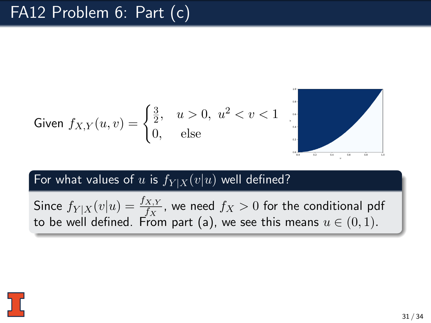Given 
$$
f_{X,Y}(u, v) = \begin{cases} \frac{3}{2}, & u > 0, u^2 < v < 1 \\ 0, & \text{else} \end{cases}
$$

#### For what values of u is  $f_{Y|X}(v|u)$  well defined?

Since  $f_{Y|X}(v|u) = \frac{f_{X,Y}}{f_X}$ , we need  $f_X > 0$  for the conditional pdf to be well defined. From part (a), we see this means  $u \in (0,1)$ .

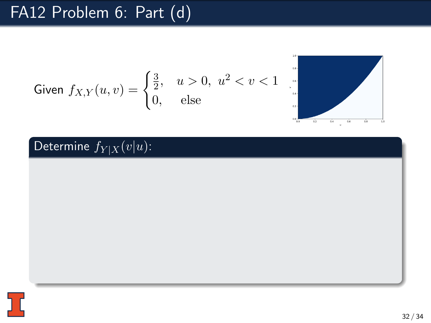Given 
$$
f_{X,Y}(u, v) = \begin{cases} \frac{3}{2}, & u > 0, u^2 < v < 1 \\ 0, & \text{else} \end{cases}
$$



#### Determine  $f_{Y|X}(v|u)$ :

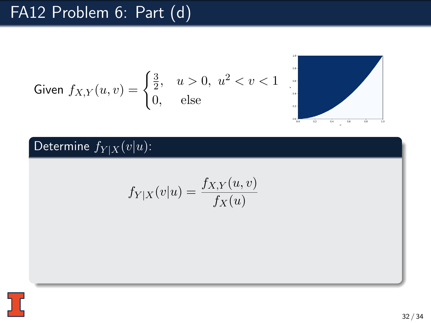Given 
$$
f_{X,Y}(u, v) = \begin{cases} \frac{3}{2}, & u > 0, u^2 < v < 1 \\ 0, & \text{else} \end{cases}
$$



#### Determine  $f_{Y|X}(v|u)$ :

$$
f_{Y|X}(v|u) = \frac{f_{X,Y}(u,v)}{f_X(u)}
$$

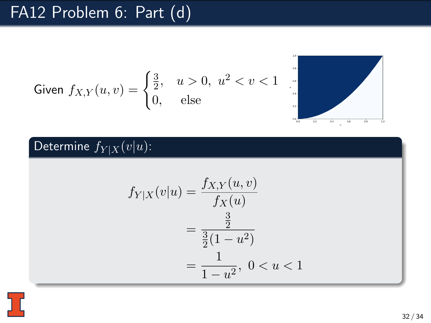Given 
$$
f_{X,Y}(u, v) = \begin{cases} \frac{3}{2}, & u > 0, u^2 < v < 1 \\ 0, & \text{else} \end{cases}
$$



#### Determine  $f_{Y|X}(v|u)$ :

$$
f_{Y|X}(v|u) = \frac{f_{X,Y}(u,v)}{f_X(u)}
$$
  
= 
$$
\frac{\frac{3}{2}}{\frac{3}{2}(1-u^2)}
$$
  
= 
$$
\frac{1}{1-u^2}, \ 0 < u < 1
$$

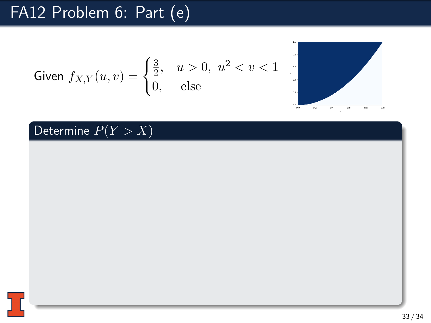Given 
$$
f_{X,Y}(u, v) = \begin{cases} \frac{3}{2}, & u > 0, \ u^2 < v < 1\\ 0, & \text{else} \end{cases}
$$



Determine  $P(Y > X)$ 

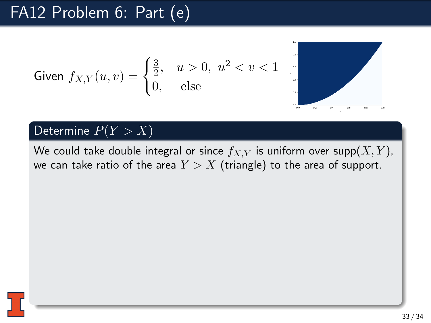Given 
$$
f_{X,Y}(u, v) = \begin{cases} \frac{3}{2}, & u > 0, \ u^2 < v < 1\\ 0, & \text{else} \end{cases}
$$



#### Determine  $P(Y > X)$

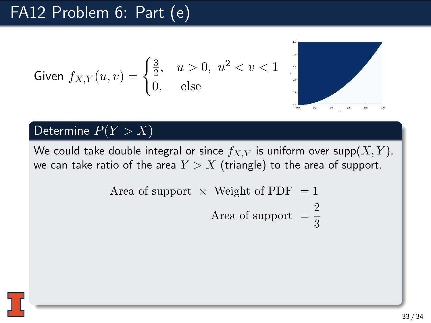Given 
$$
f_{X,Y}(u, v) = \begin{cases} \frac{3}{2}, & u > 0, \ u^2 < v < 1\\ 0, & \text{else} \end{cases}
$$



#### Determine  $P(Y > X)$

Area of support 
$$
\times
$$
 Weight of PDF = 1  
Area of support =  $\frac{2}{3}$ 

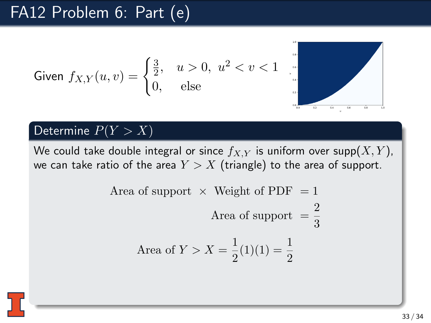Given 
$$
f_{X,Y}(u,v) = \begin{cases} \frac{3}{2}, & u > 0, \ u^2 < v < 1 \\ 0, & \text{else} \end{cases}
$$



#### Determine  $P(Y > X)$

Area of support × Weight of PDF = 1  
Area of support = 
$$
\frac{2}{3}
$$
  
Area of  $Y > X = \frac{1}{2}(1)(1) = \frac{1}{2}$ 

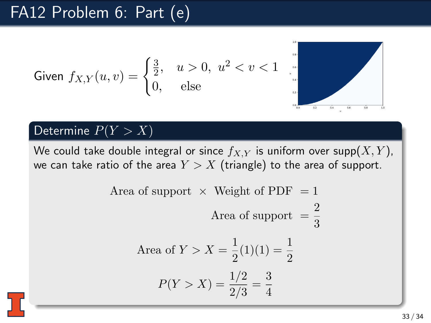Given 
$$
f_{X,Y}(u, v) = \begin{cases} \frac{3}{2}, & u > 0, u^2 < v < 1 \\ 0, & \text{else} \end{cases}
$$



#### Determine  $P(Y > X)$

Area of support × Weight of PDF = 1  
\nArea of support = 
$$
\frac{2}{3}
$$
  
\nArea of  $Y > X = \frac{1}{2}(1)(1) = \frac{1}{2}$   
\n
$$
P(Y > X) = \frac{1/2}{2/3} = \frac{3}{4}
$$